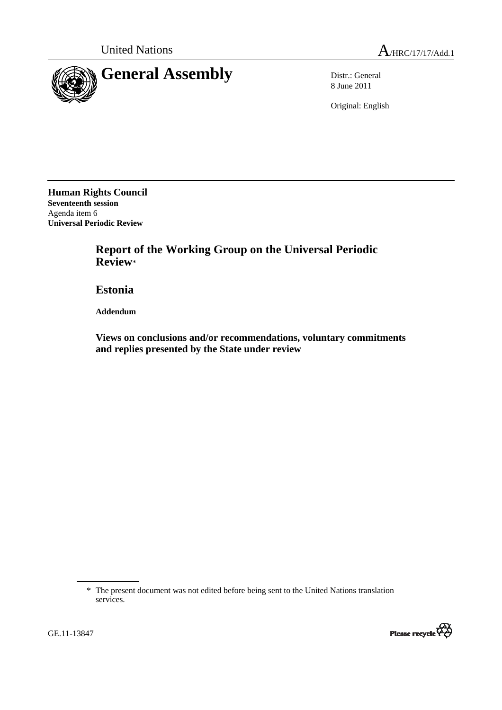

8 June 2011

Original: English

**Human Rights Council Seventeenth session**  Agenda item 6 **Universal Periodic Review** 

> **Report of the Working Group on the Universal Periodic Review**\*

 **Estonia** 

 **Addendum** 

 **Views on conclusions and/or recommendations, voluntary commitments and replies presented by the State under review** 

<sup>\*</sup> The present document was not edited before being sent to the United Nations translation services.



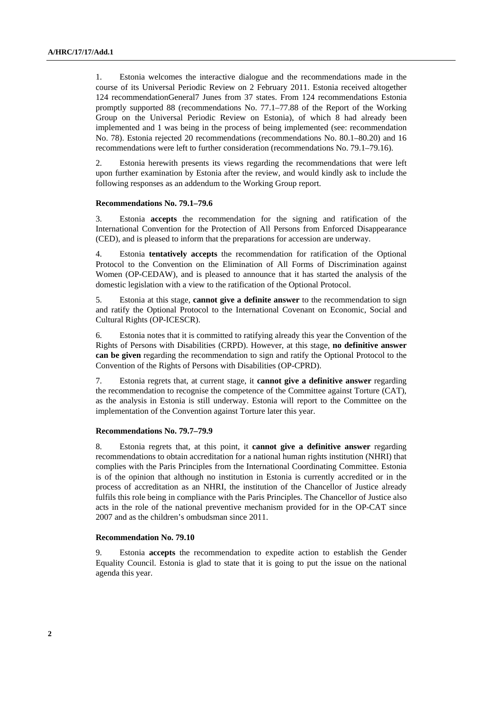1. Estonia welcomes the interactive dialogue and the recommendations made in the course of its Universal Periodic Review on 2 February 2011. Estonia received altogether 124 recommendationGeneral7 Junes from 37 states. From 124 recommendations Estonia promptly supported 88 (recommendations No. 77.1–77.88 of the Report of the Working Group on the Universal Periodic Review on Estonia), of which 8 had already been implemented and 1 was being in the process of being implemented (see: recommendation No. 78). Estonia rejected 20 recommendations (recommendations No. 80.1–80.20) and 16 recommendations were left to further consideration (recommendations No. 79.1–79.16).

2. Estonia herewith presents its views regarding the recommendations that were left upon further examination by Estonia after the review, and would kindly ask to include the following responses as an addendum to the Working Group report.

### **Recommendations No. 79.1–79.6**

3. Estonia **accepts** the recommendation for the signing and ratification of the International Convention for the Protection of All Persons from Enforced Disappearance (CED), and is pleased to inform that the preparations for accession are underway.

4. Estonia **tentatively accepts** the recommendation for ratification of the Optional Protocol to the Convention on the Elimination of All Forms of Discrimination against Women (OP-CEDAW), and is pleased to announce that it has started the analysis of the domestic legislation with a view to the ratification of the Optional Protocol.

5. Estonia at this stage, **cannot give a definite answer** to the recommendation to sign and ratify the Optional Protocol to the International Covenant on Economic, Social and Cultural Rights (OP-ICESCR).

6. Estonia notes that it is committed to ratifying already this year the Convention of the Rights of Persons with Disabilities (CRPD). However, at this stage, **no definitive answer can be given** regarding the recommendation to sign and ratify the Optional Protocol to the Convention of the Rights of Persons with Disabilities (OP-CPRD).

7. Estonia regrets that, at current stage, it **cannot give a definitive answer** regarding the recommendation to recognise the competence of the Committee against Torture (CAT), as the analysis in Estonia is still underway. Estonia will report to the Committee on the implementation of the Convention against Torture later this year.

### **Recommendations No. 79.7–79.9**

8. Estonia regrets that, at this point, it **cannot give a definitive answer** regarding recommendations to obtain accreditation for a national human rights institution (NHRI) that complies with the Paris Principles from the International Coordinating Committee. Estonia is of the opinion that although no institution in Estonia is currently accredited or in the process of accreditation as an NHRI, the institution of the Chancellor of Justice already fulfils this role being in compliance with the Paris Principles. The Chancellor of Justice also acts in the role of the national preventive mechanism provided for in the OP-CAT since 2007 and as the children's ombudsman since 2011.

#### **Recommendation No. 79.10**

9. Estonia **accepts** the recommendation to expedite action to establish the Gender Equality Council. Estonia is glad to state that it is going to put the issue on the national agenda this year.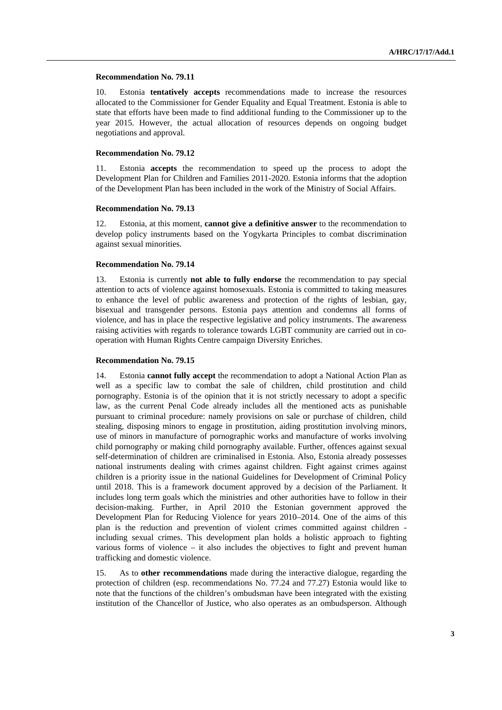#### **Recommendation No. 79.11**

10. Estonia **tentatively accepts** recommendations made to increase the resources allocated to the Commissioner for Gender Equality and Equal Treatment. Estonia is able to state that efforts have been made to find additional funding to the Commissioner up to the year 2015. However, the actual allocation of resources depends on ongoing budget negotiations and approval.

### **Recommendation No. 79.12**

11. Estonia **accepts** the recommendation to speed up the process to adopt the Development Plan for Children and Families 2011-2020. Estonia informs that the adoption of the Development Plan has been included in the work of the Ministry of Social Affairs.

## **Recommendation No. 79.13**

12. Estonia, at this moment, **cannot give a definitive answer** to the recommendation to develop policy instruments based on the Yogykarta Principles to combat discrimination against sexual minorities.

#### **Recommendation No. 79.14**

13. Estonia is currently **not able to fully endorse** the recommendation to pay special attention to acts of violence against homosexuals. Estonia is committed to taking measures to enhance the level of public awareness and protection of the rights of lesbian, gay, bisexual and transgender persons. Estonia pays attention and condemns all forms of violence, and has in place the respective legislative and policy instruments. The awareness raising activities with regards to tolerance towards LGBT community are carried out in cooperation with Human Rights Centre campaign Diversity Enriches.

### **Recommendation No. 79.15**

14. Estonia **cannot fully accept** the recommendation to adopt a National Action Plan as well as a specific law to combat the sale of children, child prostitution and child pornography. Estonia is of the opinion that it is not strictly necessary to adopt a specific law, as the current Penal Code already includes all the mentioned acts as punishable pursuant to criminal procedure: namely provisions on sale or purchase of children, child stealing, disposing minors to engage in prostitution, aiding prostitution involving minors, use of minors in manufacture of pornographic works and manufacture of works involving child pornography or making child pornography available. Further, offences against sexual self-determination of children are criminalised in Estonia. Also, Estonia already possesses national instruments dealing with crimes against children. Fight against crimes against children is a priority issue in the national Guidelines for Development of Criminal Policy until 2018. This is a framework document approved by a decision of the Parliament. It includes long term goals which the ministries and other authorities have to follow in their decision-making. Further, in April 2010 the Estonian government approved the Development Plan for Reducing Violence for years 2010–2014. One of the aims of this plan is the reduction and prevention of violent crimes committed against children including sexual crimes. This development plan holds a holistic approach to fighting various forms of violence – it also includes the objectives to fight and prevent human trafficking and domestic violence.

15. As to **other recommendations** made during the interactive dialogue, regarding the protection of children (esp. recommendations No. 77.24 and 77.27) Estonia would like to note that the functions of the children's ombudsman have been integrated with the existing institution of the Chancellor of Justice, who also operates as an ombudsperson. Although